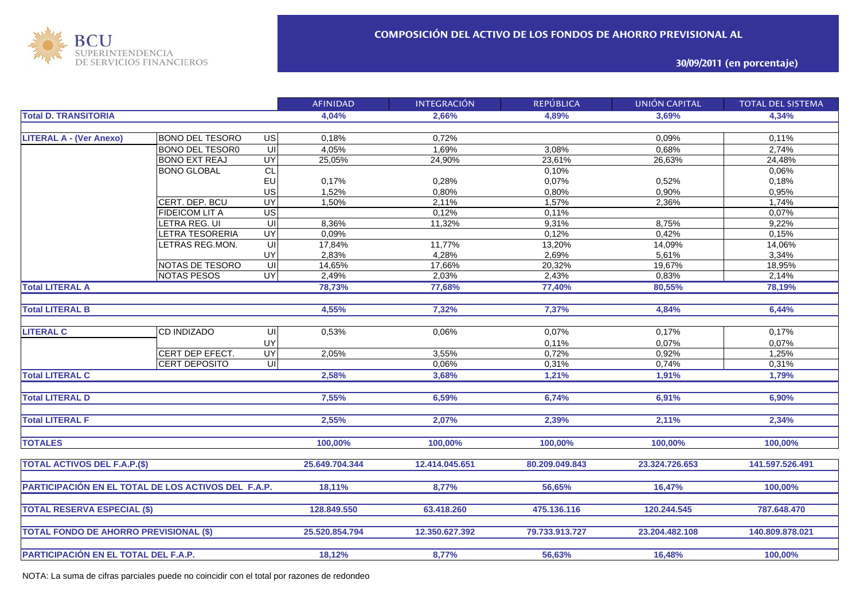

## **30/09/2011 (en porcentaje)**

|                                                     |                        |                          | <b>AFINIDAD</b> | <b>INTEGRACIÓN</b> | <b>REPÚBLICA</b> | <b>UNIÓN CAPITAL</b> | <b>TOTAL DEL SISTEMA</b> |
|-----------------------------------------------------|------------------------|--------------------------|-----------------|--------------------|------------------|----------------------|--------------------------|
| <b>Total D. TRANSITORIA</b>                         |                        |                          | 4,04%           | 2,66%              | 4,89%            | 3,69%                | 4,34%                    |
|                                                     |                        |                          |                 |                    |                  |                      |                          |
| <b>LITERAL A - (Ver Anexo)</b>                      | <b>BONO DEL TESORO</b> | $\overline{u}$           | 0,18%           | 0,72%              |                  | 0,09%                | 0,11%                    |
|                                                     | <b>BONO DEL TESOR0</b> | $\overline{\mathsf{u}}$  | 4,05%           | 1,69%              | 3,08%            | 0,68%                | 2,74%                    |
|                                                     | <b>BONO EXT REAJ</b>   | <b>UY</b>                | 25,05%          | 24,90%             | 23,61%           | 26,63%               | 24,48%                   |
|                                                     | <b>BONO GLOBAL</b>     | CL                       |                 |                    | 0,10%            |                      | 0,06%                    |
|                                                     |                        | EU                       | 0,17%           | 0,28%              | 0,07%            | 0,52%                | 0,18%                    |
|                                                     |                        | US                       | 1,52%           | 0,80%              | 0,80%            | 0,90%                | 0,95%                    |
|                                                     | CERT. DEP. BCU         | <b>UY</b>                | 1,50%           | 2,11%              | 1,57%            | 2,36%                | 1,74%                    |
|                                                     | <b>FIDEICOM LIT A</b>  | $\overline{\mathsf{us}}$ |                 | 0,12%              | 0,11%            |                      | 0,07%                    |
|                                                     | LETRA REG. UI          | $\overline{U}$           | 8,36%           | 11,32%             | 9,31%            | 8,75%                | 9,22%                    |
|                                                     | LETRA TESORERIA        | $\overline{UY}$          | 0,09%           |                    | 0,12%            | 0,42%                | 0,15%                    |
|                                                     | LETRAS REG.MON.        | $\equiv$                 | 17,84%          | 11,77%             | 13,20%           | 14,09%               | 14,06%                   |
|                                                     |                        | UY                       | 2,83%           | 4,28%              | 2,69%            | 5,61%                | 3,34%                    |
|                                                     | NOTAS DE TESORO        | ਗ                        | 14,65%          | 17,66%             | 20,32%           | 19,67%               | 18,95%                   |
|                                                     | <b>NOTAS PESOS</b>     | UY                       | 2,49%           | 2,03%              | 2,43%            | 0,83%                | 2,14%                    |
| <b>Total LITERAL A</b>                              |                        |                          | 78,73%          | 77,68%             | 77,40%           | 80,55%               | 78,19%                   |
|                                                     |                        |                          |                 |                    |                  |                      |                          |
| <b>Total LITERAL B</b>                              |                        |                          | 4,55%           | 7,32%              | 7,37%            | 4,84%                | 6,44%                    |
|                                                     |                        |                          |                 |                    |                  |                      |                          |
| <b>LITERAL C</b>                                    | CD INDIZADO            | UI                       | 0,53%           | 0,06%              | 0,07%            | 0,17%                | 0,17%                    |
|                                                     |                        | UY                       |                 |                    | 0,11%            | 0,07%                | 0,07%                    |
|                                                     | CERT DEP EFECT.        | <b>UY</b>                | 2,05%           | 3,55%              | 0,72%            | 0,92%                | 1,25%                    |
|                                                     | <b>CERT DEPOSITO</b>   | $\overline{\mathsf{u}}$  |                 | 0,06%              | 0,31%            | 0,74%                | 0,31%                    |
| <b>Total LITERAL C</b>                              |                        |                          | 2,58%           | 3,68%              | 1,21%            | 1,91%                | 1,79%                    |
|                                                     |                        |                          |                 |                    |                  |                      |                          |
| <b>Total LITERAL D</b>                              |                        |                          | 7,55%           | 6,59%              | 6,74%            | 6,91%                | 6,90%                    |
|                                                     |                        |                          |                 |                    |                  |                      |                          |
| <b>Total LITERAL F</b>                              |                        |                          | 2,55%           | 2,07%              | 2,39%            | 2,11%                | 2,34%                    |
|                                                     |                        |                          |                 |                    |                  |                      |                          |
| <b>TOTALES</b>                                      |                        |                          | 100,00%         | 100,00%            | 100,00%          | 100,00%              | 100,00%                  |
|                                                     |                        |                          |                 |                    |                  |                      |                          |
| <b>TOTAL ACTIVOS DEL F.A.P.(\$)</b>                 |                        |                          | 25.649.704.344  | 12.414.045.651     | 80.209.049.843   | 23.324.726.653       | 141.597.526.491          |
|                                                     |                        |                          |                 |                    |                  |                      |                          |
| PARTICIPACIÓN EN EL TOTAL DE LOS ACTIVOS DEL F.A.P. |                        |                          | 18,11%          | 8,77%              | 56,65%           | 16,47%               | 100,00%                  |
|                                                     |                        |                          |                 |                    |                  |                      |                          |
| <b>TOTAL RESERVA ESPECIAL (\$)</b>                  |                        |                          | 128.849.550     | 63.418.260         | 475.136.116      | 120.244.545          | 787.648.470              |
|                                                     |                        |                          |                 |                    |                  |                      |                          |
| <b>TOTAL FONDO DE AHORRO PREVISIONAL (\$)</b>       |                        |                          | 25.520.854.794  | 12.350.627.392     | 79.733.913.727   | 23.204.482.108       | 140.809.878.021          |
|                                                     |                        |                          |                 |                    |                  |                      |                          |
| PARTICIPACIÓN EN EL TOTAL DEL F.A.P.                |                        |                          | 18,12%          | 8,77%              | 56,63%           | 16,48%               | 100,00%                  |
|                                                     |                        |                          |                 |                    |                  |                      |                          |

NOTA: La suma de cifras parciales puede no coincidir con el total por razones de redondeo